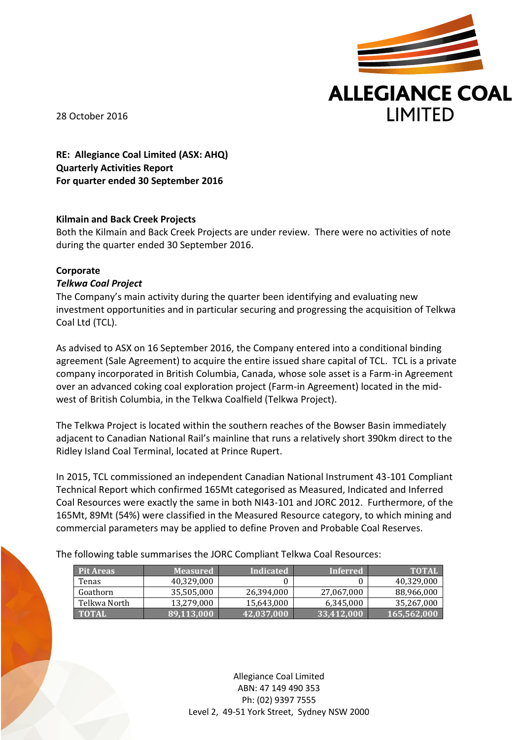

28 October 2016

**RE: Allegiance Coal Limited (ASX: AHQ) Quarterly Activities Report For quarter ended 30 September 2016**

# **Kilmain and Back Creek Projects**

Both the Kilmain and Back Creek Projects are under review. There were no activities of note during the quarter ended 30 September 2016.

# **Corporate**

## *Telkwa Coal Project*

The Company's main activity during the quarter been identifying and evaluating new investment opportunities and in particular securing and progressing the acquisition of Telkwa Coal Ltd (TCL).

As advised to ASX on 16 September 2016, the Company entered into a conditional binding agreement (Sale Agreement) to acquire the entire issued share capital of TCL. TCL is a private company incorporated in British Columbia, Canada, whose sole asset is a Farm-in Agreement over an advanced coking coal exploration project (Farm-in Agreement) located in the midwest of British Columbia, in the Telkwa Coalfield (Telkwa Project).

The Telkwa Project is located within the southern reaches of the Bowser Basin immediately adjacent to Canadian National Rail's mainline that runs a relatively short 390km direct to the Ridley Island Coal Terminal, located at Prince Rupert.

In 2015, TCL commissioned an independent Canadian National Instrument 43-101 Compliant Technical Report which confirmed 165Mt categorised as Measured, Indicated and Inferred Coal Resources were exactly the same in both NI43-101 and JORC 2012. Furthermore, of the 165Mt, 89Mt (54%) were classified in the Measured Resource category, to which mining and commercial parameters may be applied to define Proven and Probable Coal Reserves.

The following table summarises the JORC Compliant Telkwa Coal Resources:

| <b>Pit Areas</b> | <b>Measured</b> | Indicated       | <b>Inferred</b> | <b>TOTAL</b> |
|------------------|-----------------|-----------------|-----------------|--------------|
| Tenas            | 40.329.000      |                 |                 | 40,329,000   |
| Goathorn         | 35,505,000      | 26,394,000      | 27,067,000      | 88,966,000   |
| Telkwa North     | 13,279,000      | 15,643,000      | 6,345,000       | 35,267,000   |
| <b>TOTAL</b>     | 89,113,000      | $142,037,000$ , | 33,412,000      | 165,562,000  |

Allegiance Coal Limited ABN: 47 149 490 353 Ph: (02) 9397 7555 Level 2, 49-51 York Street, Sydney NSW 2000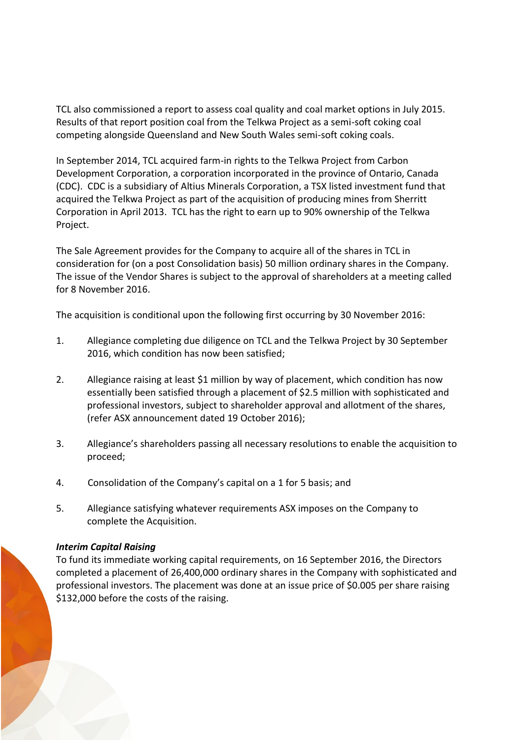TCL also commissioned a report to assess coal quality and coal market options in July 2015. Results of that report position coal from the Telkwa Project as a semi-soft coking coal competing alongside Queensland and New South Wales semi-soft coking coals.

In September 2014, TCL acquired farm-in rights to the Telkwa Project from Carbon Development Corporation, a corporation incorporated in the province of Ontario, Canada (CDC). CDC is a subsidiary of Altius Minerals Corporation, a TSX listed investment fund that acquired the Telkwa Project as part of the acquisition of producing mines from Sherritt Corporation in April 2013. TCL has the right to earn up to 90% ownership of the Telkwa Project.

The Sale Agreement provides for the Company to acquire all of the shares in TCL in consideration for (on a post Consolidation basis) 50 million ordinary shares in the Company. The issue of the Vendor Shares is subject to the approval of shareholders at a meeting called for 8 November 2016.

The acquisition is conditional upon the following first occurring by 30 November 2016:

- 1. Allegiance completing due diligence on TCL and the Telkwa Project by 30 September 2016, which condition has now been satisfied;
- 2. Allegiance raising at least \$1 million by way of placement, which condition has now essentially been satisfied through a placement of \$2.5 million with sophisticated and professional investors, subject to shareholder approval and allotment of the shares, (refer ASX announcement dated 19 October 2016);
- 3. Allegiance's shareholders passing all necessary resolutions to enable the acquisition to proceed;
- 4. Consolidation of the Company's capital on a 1 for 5 basis; and
- 5. Allegiance satisfying whatever requirements ASX imposes on the Company to complete the Acquisition.

## *Interim Capital Raising*

To fund its immediate working capital requirements, on 16 September 2016, the Directors completed a placement of 26,400,000 ordinary shares in the Company with sophisticated and professional investors. The placement was done at an issue price of \$0.005 per share raising \$132,000 before the costs of the raising.